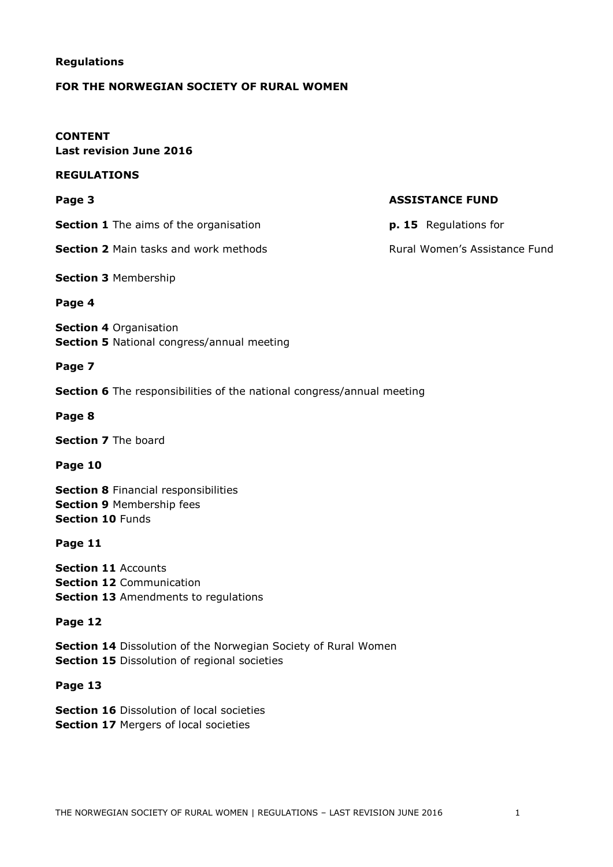#### **Regulations**

#### **FOR THE NORWEGIAN SOCIETY OF RURAL WOMEN**

#### **CONTENT Last revision June 2016**

#### **REGULATIONS**

**Section 1** The aims of the organisation **p. 15** Regulations for

**Section 2** Main tasks and work methods **Rural Women's Assistance Fund** 

**Section 3** Membership

#### **Page 4**

**Section 4** Organisation **Section 5** National congress/annual meeting

#### **Page 7**

**Section 6** The responsibilities of the national congress/annual meeting

**Page 8**

**Section 7** The board

**Page 10**

**Section 8** Financial responsibilities **Section 9** Membership fees **Section 10** Funds

**Page 11**

**Section 11** Accounts **Section 12** Communication **Section 13** Amendments to regulations

#### **Page 12**

**Section 14** Dissolution of the Norwegian Society of Rural Women **Section 15** Dissolution of regional societies

#### **Page 13**

**Section 16** Dissolution of local societies **Section 17 Mergers of local societies** 

#### **Page 3 ASSISTANCE FUND**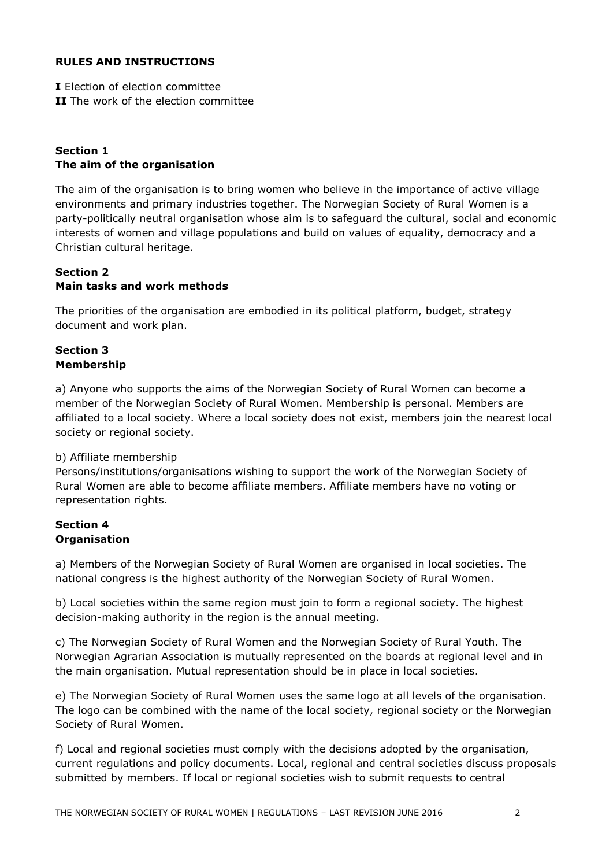## **RULES AND INSTRUCTIONS**

**I** Election of election committee **II** The work of the election committee

# **Section 1 The aim of the organisation**

The aim of the organisation is to bring women who believe in the importance of active village environments and primary industries together. The Norwegian Society of Rural Women is a party-politically neutral organisation whose aim is to safeguard the cultural, social and economic interests of women and village populations and build on values of equality, democracy and a Christian cultural heritage.

# **Section 2 Main tasks and work methods**

The priorities of the organisation are embodied in its political platform, budget, strategy document and work plan.

# **Section 3 Membership**

a) Anyone who supports the aims of the Norwegian Society of Rural Women can become a member of the Norwegian Society of Rural Women. Membership is personal. Members are affiliated to a local society. Where a local society does not exist, members join the nearest local society or regional society.

# b) Affiliate membership

Persons/institutions/organisations wishing to support the work of the Norwegian Society of Rural Women are able to become affiliate members. Affiliate members have no voting or representation rights.

## **Section 4 Organisation**

a) Members of the Norwegian Society of Rural Women are organised in local societies. The national congress is the highest authority of the Norwegian Society of Rural Women.

b) Local societies within the same region must join to form a regional society. The highest decision-making authority in the region is the annual meeting.

c) The Norwegian Society of Rural Women and the Norwegian Society of Rural Youth. The Norwegian Agrarian Association is mutually represented on the boards at regional level and in the main organisation. Mutual representation should be in place in local societies.

e) The Norwegian Society of Rural Women uses the same logo at all levels of the organisation. The logo can be combined with the name of the local society, regional society or the Norwegian Society of Rural Women.

f) Local and regional societies must comply with the decisions adopted by the organisation, current regulations and policy documents. Local, regional and central societies discuss proposals submitted by members. If local or regional societies wish to submit requests to central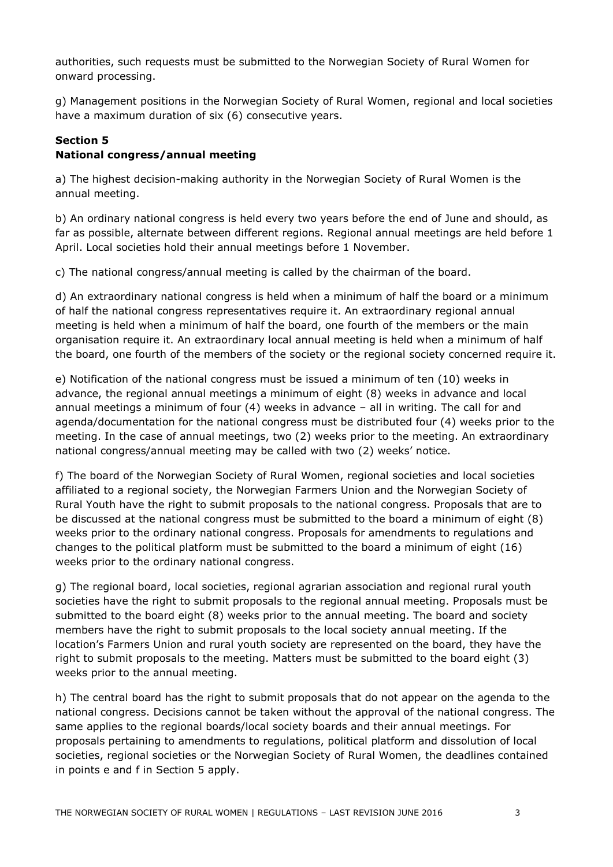authorities, such requests must be submitted to the Norwegian Society of Rural Women for onward processing.

g) Management positions in the Norwegian Society of Rural Women, regional and local societies have a maximum duration of six (6) consecutive years.

# **Section 5 National congress/annual meeting**

a) The highest decision-making authority in the Norwegian Society of Rural Women is the annual meeting.

b) An ordinary national congress is held every two years before the end of June and should, as far as possible, alternate between different regions. Regional annual meetings are held before 1 April. Local societies hold their annual meetings before 1 November.

c) The national congress/annual meeting is called by the chairman of the board.

d) An extraordinary national congress is held when a minimum of half the board or a minimum of half the national congress representatives require it. An extraordinary regional annual meeting is held when a minimum of half the board, one fourth of the members or the main organisation require it. An extraordinary local annual meeting is held when a minimum of half the board, one fourth of the members of the society or the regional society concerned require it.

e) Notification of the national congress must be issued a minimum of ten (10) weeks in advance, the regional annual meetings a minimum of eight (8) weeks in advance and local annual meetings a minimum of four (4) weeks in advance – all in writing. The call for and agenda/documentation for the national congress must be distributed four (4) weeks prior to the meeting. In the case of annual meetings, two (2) weeks prior to the meeting. An extraordinary national congress/annual meeting may be called with two (2) weeks' notice.

f) The board of the Norwegian Society of Rural Women, regional societies and local societies affiliated to a regional society, the Norwegian Farmers Union and the Norwegian Society of Rural Youth have the right to submit proposals to the national congress. Proposals that are to be discussed at the national congress must be submitted to the board a minimum of eight (8) weeks prior to the ordinary national congress. Proposals for amendments to regulations and changes to the political platform must be submitted to the board a minimum of eight (16) weeks prior to the ordinary national congress.

g) The regional board, local societies, regional agrarian association and regional rural youth societies have the right to submit proposals to the regional annual meeting. Proposals must be submitted to the board eight (8) weeks prior to the annual meeting. The board and society members have the right to submit proposals to the local society annual meeting. If the location's Farmers Union and rural youth society are represented on the board, they have the right to submit proposals to the meeting. Matters must be submitted to the board eight (3) weeks prior to the annual meeting.

h) The central board has the right to submit proposals that do not appear on the agenda to the national congress. Decisions cannot be taken without the approval of the national congress. The same applies to the regional boards/local society boards and their annual meetings. For proposals pertaining to amendments to regulations, political platform and dissolution of local societies, regional societies or the Norwegian Society of Rural Women, the deadlines contained in points e and f in Section 5 apply.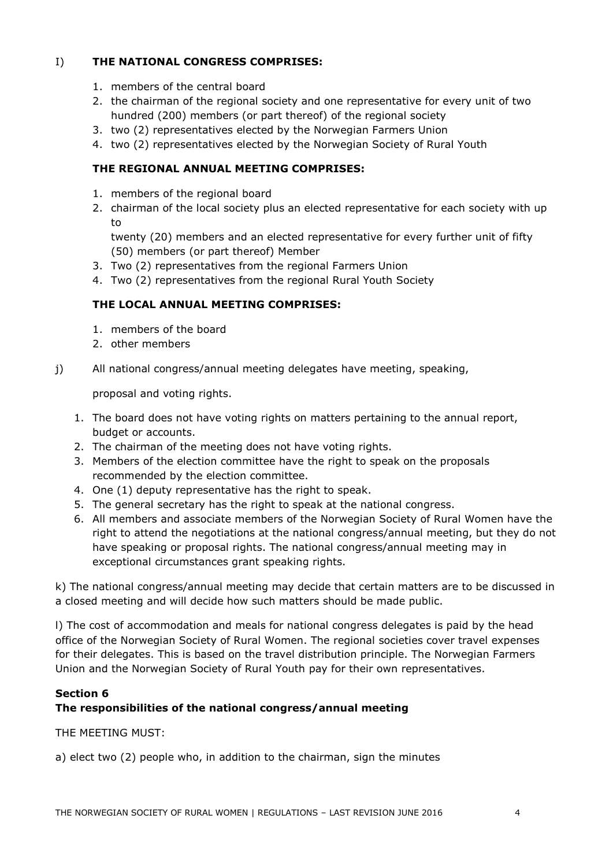## I) **THE NATIONAL CONGRESS COMPRISES:**

- 1. members of the central board
- 2. the chairman of the regional society and one representative for every unit of two hundred (200) members (or part thereof) of the regional society
- 3. two (2) representatives elected by the Norwegian Farmers Union
- 4. two (2) representatives elected by the Norwegian Society of Rural Youth

## **THE REGIONAL ANNUAL MEETING COMPRISES:**

- 1. members of the regional board
- 2. chairman of the local society plus an elected representative for each society with up to

twenty (20) members and an elected representative for every further unit of fifty (50) members (or part thereof) Member

- 3. Two (2) representatives from the regional Farmers Union
- 4. Two (2) representatives from the regional Rural Youth Society

## **THE LOCAL ANNUAL MEETING COMPRISES:**

- 1. members of the board
- 2. other members
- j) All national congress/annual meeting delegates have meeting, speaking,

proposal and voting rights.

- 1. The board does not have voting rights on matters pertaining to the annual report, budget or accounts.
- 2. The chairman of the meeting does not have voting rights.
- 3. Members of the election committee have the right to speak on the proposals recommended by the election committee.
- 4. One (1) deputy representative has the right to speak.
- 5. The general secretary has the right to speak at the national congress.
- 6. All members and associate members of the Norwegian Society of Rural Women have the right to attend the negotiations at the national congress/annual meeting, but they do not have speaking or proposal rights. The national congress/annual meeting may in exceptional circumstances grant speaking rights.

k) The national congress/annual meeting may decide that certain matters are to be discussed in a closed meeting and will decide how such matters should be made public.

l) The cost of accommodation and meals for national congress delegates is paid by the head office of the Norwegian Society of Rural Women. The regional societies cover travel expenses for their delegates. This is based on the travel distribution principle. The Norwegian Farmers Union and the Norwegian Society of Rural Youth pay for their own representatives.

## **Section 6**

# **The responsibilities of the national congress/annual meeting**

THE MEETING MUST:

a) elect two (2) people who, in addition to the chairman, sign the minutes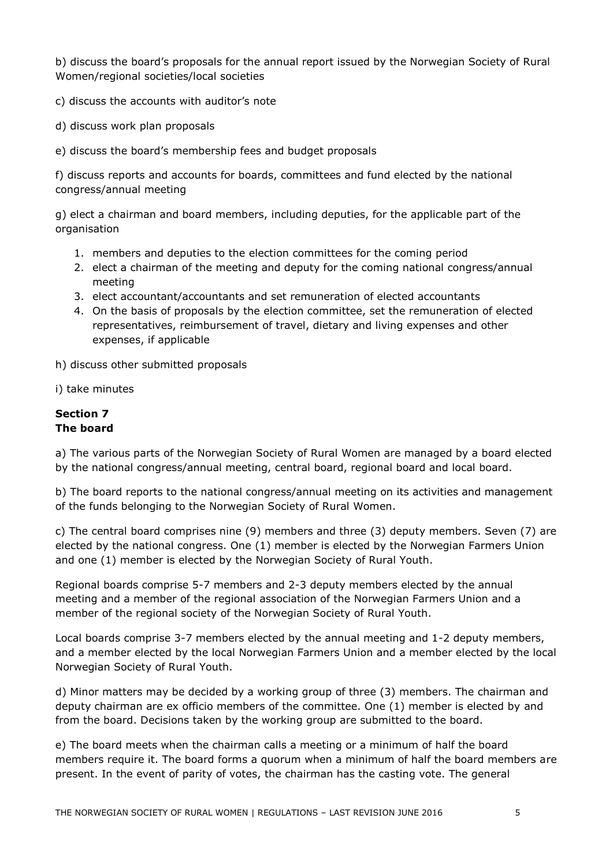b) discuss the board's proposals for the annual report issued by the Norwegian Society of Rural Women/regional societies/local societies

- c) discuss the accounts with auditor's note
- d) discuss work plan proposals
- e) discuss the board's membership fees and budget proposals

f) discuss reports and accounts for boards, committees and fund elected by the national congress/annual meeting

g) elect a chairman and board members, including deputies, for the applicable part of the organisation

- 1. members and deputies to the election committees for the coming period
- 2. elect a chairman of the meeting and deputy for the coming national congress/annual meeting
- 3. elect accountant/accountants and set remuneration of elected accountants
- 4. On the basis of proposals by the election committee, set the remuneration of elected representatives, reimbursement of travel, dietary and living expenses and other expenses, if applicable

h) discuss other submitted proposals

i) take minutes

## **Section 7 The board**

a) The various parts of the Norwegian Society of Rural Women are managed by a board elected by the national congress/annual meeting, central board, regional board and local board.

b) The board reports to the national congress/annual meeting on its activities and management of the funds belonging to the Norwegian Society of Rural Women.

c) The central board comprises nine (9) members and three (3) deputy members. Seven (7) are elected by the national congress. One (1) member is elected by the Norwegian Farmers Union and one (1) member is elected by the Norwegian Society of Rural Youth.

Regional boards comprise 5-7 members and 2-3 deputy members elected by the annual meeting and a member of the regional association of the Norwegian Farmers Union and a member of the regional society of the Norwegian Society of Rural Youth.

Local boards comprise 3-7 members elected by the annual meeting and 1-2 deputy members, and a member elected by the local Norwegian Farmers Union and a member elected by the local Norwegian Society of Rural Youth.

d) Minor matters may be decided by a working group of three (3) members. The chairman and deputy chairman are ex officio members of the committee. One (1) member is elected by and from the board. Decisions taken by the working group are submitted to the board.

e) The board meets when the chairman calls a meeting or a minimum of half the board members require it. The board forms a quorum when a minimum of half the board members are present. In the event of parity of votes, the chairman has the casting vote. The general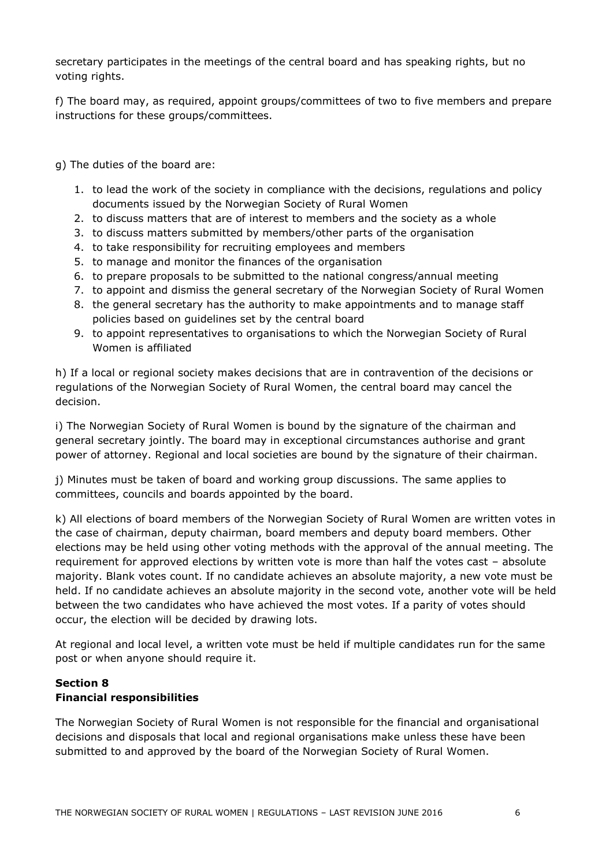secretary participates in the meetings of the central board and has speaking rights, but no voting rights.

f) The board may, as required, appoint groups/committees of two to five members and prepare instructions for these groups/committees.

- g) The duties of the board are:
	- 1. to lead the work of the society in compliance with the decisions, regulations and policy documents issued by the Norwegian Society of Rural Women
	- 2. to discuss matters that are of interest to members and the society as a whole
	- 3. to discuss matters submitted by members/other parts of the organisation
	- 4. to take responsibility for recruiting employees and members
	- 5. to manage and monitor the finances of the organisation
	- 6. to prepare proposals to be submitted to the national congress/annual meeting
	- 7. to appoint and dismiss the general secretary of the Norwegian Society of Rural Women
	- 8. the general secretary has the authority to make appointments and to manage staff policies based on guidelines set by the central board
	- 9. to appoint representatives to organisations to which the Norwegian Society of Rural Women is affiliated

h) If a local or regional society makes decisions that are in contravention of the decisions or regulations of the Norwegian Society of Rural Women, the central board may cancel the decision.

i) The Norwegian Society of Rural Women is bound by the signature of the chairman and general secretary jointly. The board may in exceptional circumstances authorise and grant power of attorney. Regional and local societies are bound by the signature of their chairman.

j) Minutes must be taken of board and working group discussions. The same applies to committees, councils and boards appointed by the board.

k) All elections of board members of the Norwegian Society of Rural Women are written votes in the case of chairman, deputy chairman, board members and deputy board members. Other elections may be held using other voting methods with the approval of the annual meeting. The requirement for approved elections by written vote is more than half the votes cast – absolute majority. Blank votes count. If no candidate achieves an absolute majority, a new vote must be held. If no candidate achieves an absolute majority in the second vote, another vote will be held between the two candidates who have achieved the most votes. If a parity of votes should occur, the election will be decided by drawing lots.

At regional and local level, a written vote must be held if multiple candidates run for the same post or when anyone should require it.

## **Section 8 Financial responsibilities**

The Norwegian Society of Rural Women is not responsible for the financial and organisational decisions and disposals that local and regional organisations make unless these have been submitted to and approved by the board of the Norwegian Society of Rural Women.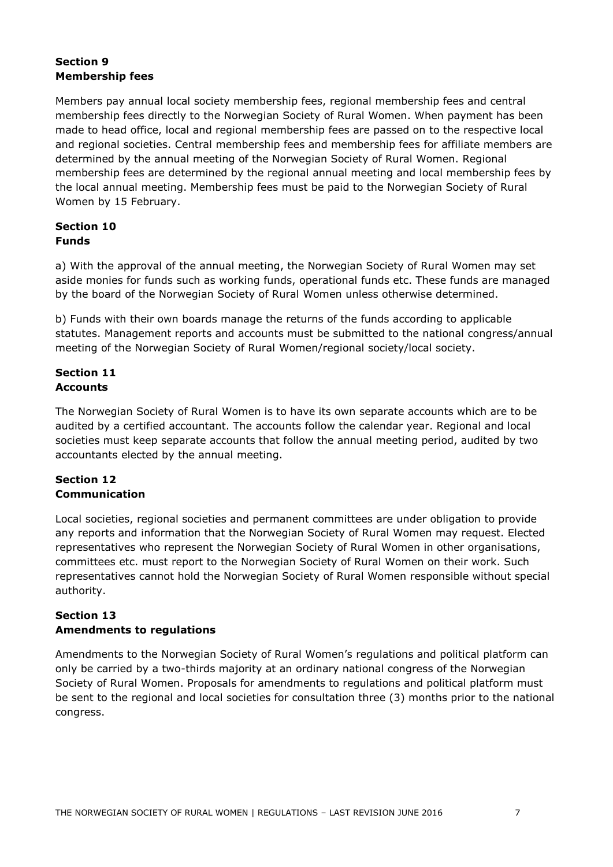# **Section 9 Membership fees**

Members pay annual local society membership fees, regional membership fees and central membership fees directly to the Norwegian Society of Rural Women. When payment has been made to head office, local and regional membership fees are passed on to the respective local and regional societies. Central membership fees and membership fees for affiliate members are determined by the annual meeting of the Norwegian Society of Rural Women. Regional membership fees are determined by the regional annual meeting and local membership fees by the local annual meeting. Membership fees must be paid to the Norwegian Society of Rural Women by 15 February.

# **Section 10 Funds**

a) With the approval of the annual meeting, the Norwegian Society of Rural Women may set aside monies for funds such as working funds, operational funds etc. These funds are managed by the board of the Norwegian Society of Rural Women unless otherwise determined.

b) Funds with their own boards manage the returns of the funds according to applicable statutes. Management reports and accounts must be submitted to the national congress/annual meeting of the Norwegian Society of Rural Women/regional society/local society.

## **Section 11 Accounts**

The Norwegian Society of Rural Women is to have its own separate accounts which are to be audited by a certified accountant. The accounts follow the calendar year. Regional and local societies must keep separate accounts that follow the annual meeting period, audited by two accountants elected by the annual meeting.

# **Section 12 Communication**

Local societies, regional societies and permanent committees are under obligation to provide any reports and information that the Norwegian Society of Rural Women may request. Elected representatives who represent the Norwegian Society of Rural Women in other organisations, committees etc. must report to the Norwegian Society of Rural Women on their work. Such representatives cannot hold the Norwegian Society of Rural Women responsible without special authority.

# **Section 13 Amendments to regulations**

Amendments to the Norwegian Society of Rural Women's regulations and political platform can only be carried by a two-thirds majority at an ordinary national congress of the Norwegian Society of Rural Women. Proposals for amendments to regulations and political platform must be sent to the regional and local societies for consultation three (3) months prior to the national congress.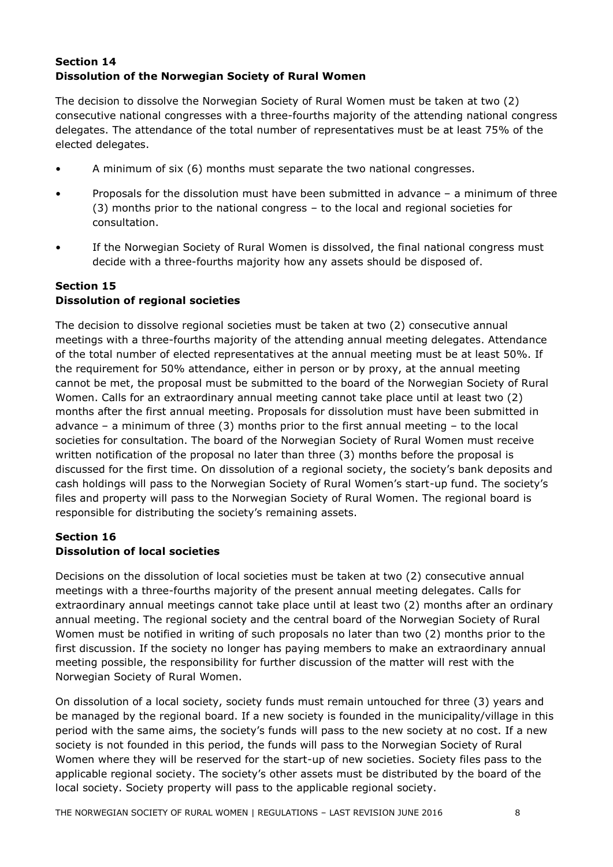# **Section 14 Dissolution of the Norwegian Society of Rural Women**

The decision to dissolve the Norwegian Society of Rural Women must be taken at two (2) consecutive national congresses with a three-fourths majority of the attending national congress delegates. The attendance of the total number of representatives must be at least 75% of the elected delegates.

- A minimum of six (6) months must separate the two national congresses.
- Proposals for the dissolution must have been submitted in advance a minimum of three (3) months prior to the national congress – to the local and regional societies for consultation.
- If the Norwegian Society of Rural Women is dissolved, the final national congress must decide with a three-fourths majority how any assets should be disposed of.

# **Section 15 Dissolution of regional societies**

The decision to dissolve regional societies must be taken at two (2) consecutive annual meetings with a three-fourths majority of the attending annual meeting delegates. Attendance of the total number of elected representatives at the annual meeting must be at least 50%. If the requirement for 50% attendance, either in person or by proxy, at the annual meeting cannot be met, the proposal must be submitted to the board of the Norwegian Society of Rural Women. Calls for an extraordinary annual meeting cannot take place until at least two (2) months after the first annual meeting. Proposals for dissolution must have been submitted in advance – a minimum of three (3) months prior to the first annual meeting – to the local societies for consultation. The board of the Norwegian Society of Rural Women must receive written notification of the proposal no later than three (3) months before the proposal is discussed for the first time. On dissolution of a regional society, the society's bank deposits and cash holdings will pass to the Norwegian Society of Rural Women's start-up fund. The society's files and property will pass to the Norwegian Society of Rural Women. The regional board is responsible for distributing the society's remaining assets.

## **Section 16 Dissolution of local societies**

Decisions on the dissolution of local societies must be taken at two (2) consecutive annual meetings with a three-fourths majority of the present annual meeting delegates. Calls for extraordinary annual meetings cannot take place until at least two (2) months after an ordinary annual meeting. The regional society and the central board of the Norwegian Society of Rural Women must be notified in writing of such proposals no later than two (2) months prior to the first discussion. If the society no longer has paying members to make an extraordinary annual meeting possible, the responsibility for further discussion of the matter will rest with the Norwegian Society of Rural Women.

On dissolution of a local society, society funds must remain untouched for three (3) years and be managed by the regional board. If a new society is founded in the municipality/village in this period with the same aims, the society's funds will pass to the new society at no cost. If a new society is not founded in this period, the funds will pass to the Norwegian Society of Rural Women where they will be reserved for the start-up of new societies. Society files pass to the applicable regional society. The society's other assets must be distributed by the board of the local society. Society property will pass to the applicable regional society.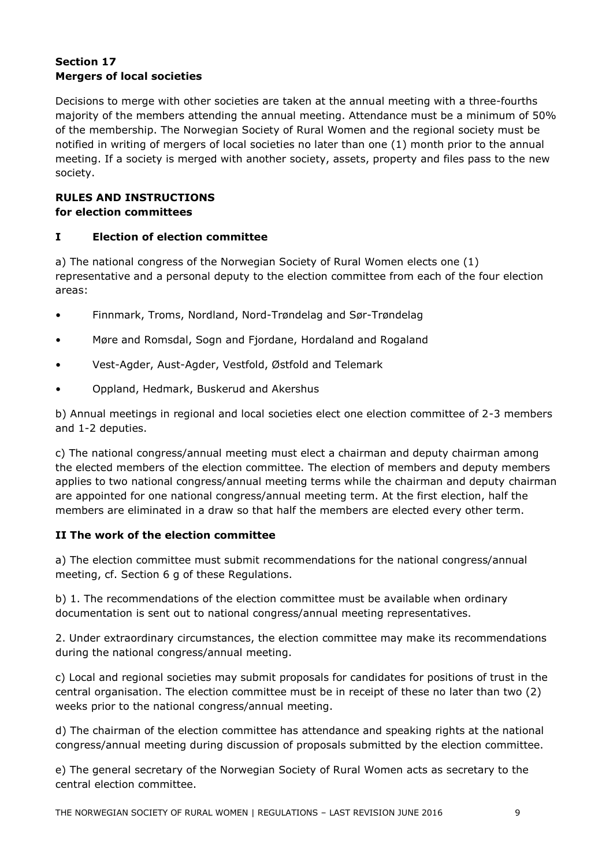# **Section 17 Mergers of local societies**

Decisions to merge with other societies are taken at the annual meeting with a three-fourths majority of the members attending the annual meeting. Attendance must be a minimum of 50% of the membership. The Norwegian Society of Rural Women and the regional society must be notified in writing of mergers of local societies no later than one (1) month prior to the annual meeting. If a society is merged with another society, assets, property and files pass to the new society.

# **RULES AND INSTRUCTIONS for election committees**

## **I Election of election committee**

a) The national congress of the Norwegian Society of Rural Women elects one (1) representative and a personal deputy to the election committee from each of the four election areas:

- Finnmark, Troms, Nordland, Nord-Trøndelag and Sør-Trøndelag
- Møre and Romsdal, Sogn and Fjordane, Hordaland and Rogaland
- Vest-Agder, Aust-Agder, Vestfold, Østfold and Telemark
- Oppland, Hedmark, Buskerud and Akershus

b) Annual meetings in regional and local societies elect one election committee of 2-3 members and 1-2 deputies.

c) The national congress/annual meeting must elect a chairman and deputy chairman among the elected members of the election committee. The election of members and deputy members applies to two national congress/annual meeting terms while the chairman and deputy chairman are appointed for one national congress/annual meeting term. At the first election, half the members are eliminated in a draw so that half the members are elected every other term.

# **II The work of the election committee**

a) The election committee must submit recommendations for the national congress/annual meeting, cf. Section 6 g of these Regulations.

b) 1. The recommendations of the election committee must be available when ordinary documentation is sent out to national congress/annual meeting representatives.

2. Under extraordinary circumstances, the election committee may make its recommendations during the national congress/annual meeting.

c) Local and regional societies may submit proposals for candidates for positions of trust in the central organisation. The election committee must be in receipt of these no later than two (2) weeks prior to the national congress/annual meeting.

d) The chairman of the election committee has attendance and speaking rights at the national congress/annual meeting during discussion of proposals submitted by the election committee.

e) The general secretary of the Norwegian Society of Rural Women acts as secretary to the central election committee.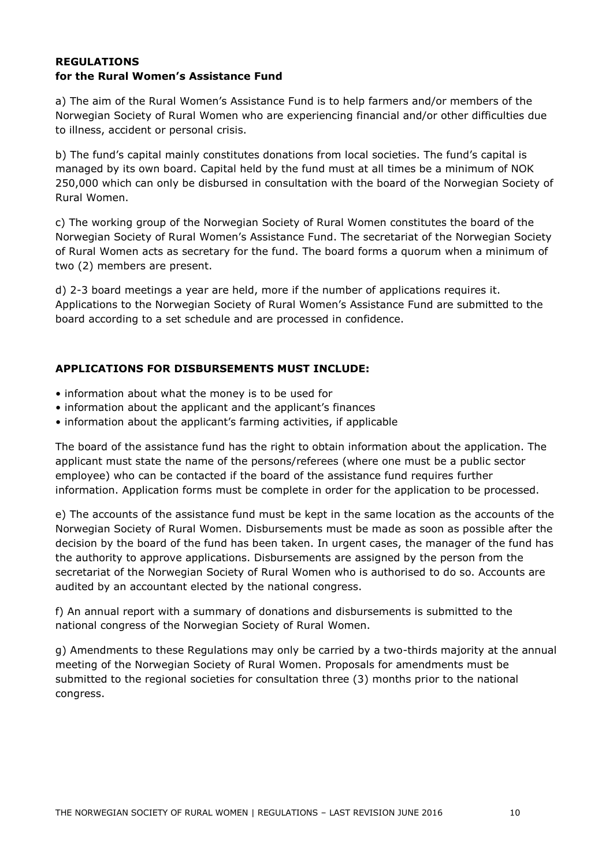#### **REGULATIONS for the Rural Women's Assistance Fund**

a) The aim of the Rural Women's Assistance Fund is to help farmers and/or members of the Norwegian Society of Rural Women who are experiencing financial and/or other difficulties due to illness, accident or personal crisis.

b) The fund's capital mainly constitutes donations from local societies. The fund's capital is managed by its own board. Capital held by the fund must at all times be a minimum of NOK 250,000 which can only be disbursed in consultation with the board of the Norwegian Society of Rural Women.

c) The working group of the Norwegian Society of Rural Women constitutes the board of the Norwegian Society of Rural Women's Assistance Fund. The secretariat of the Norwegian Society of Rural Women acts as secretary for the fund. The board forms a quorum when a minimum of two (2) members are present.

d) 2-3 board meetings a year are held, more if the number of applications requires it. Applications to the Norwegian Society of Rural Women's Assistance Fund are submitted to the board according to a set schedule and are processed in confidence.

## **APPLICATIONS FOR DISBURSEMENTS MUST INCLUDE:**

- information about what the money is to be used for
- information about the applicant and the applicant's finances
- information about the applicant's farming activities, if applicable

The board of the assistance fund has the right to obtain information about the application. The applicant must state the name of the persons/referees (where one must be a public sector employee) who can be contacted if the board of the assistance fund requires further information. Application forms must be complete in order for the application to be processed.

e) The accounts of the assistance fund must be kept in the same location as the accounts of the Norwegian Society of Rural Women. Disbursements must be made as soon as possible after the decision by the board of the fund has been taken. In urgent cases, the manager of the fund has the authority to approve applications. Disbursements are assigned by the person from the secretariat of the Norwegian Society of Rural Women who is authorised to do so. Accounts are audited by an accountant elected by the national congress.

f) An annual report with a summary of donations and disbursements is submitted to the national congress of the Norwegian Society of Rural Women.

g) Amendments to these Regulations may only be carried by a two-thirds majority at the annual meeting of the Norwegian Society of Rural Women. Proposals for amendments must be submitted to the regional societies for consultation three (3) months prior to the national congress.